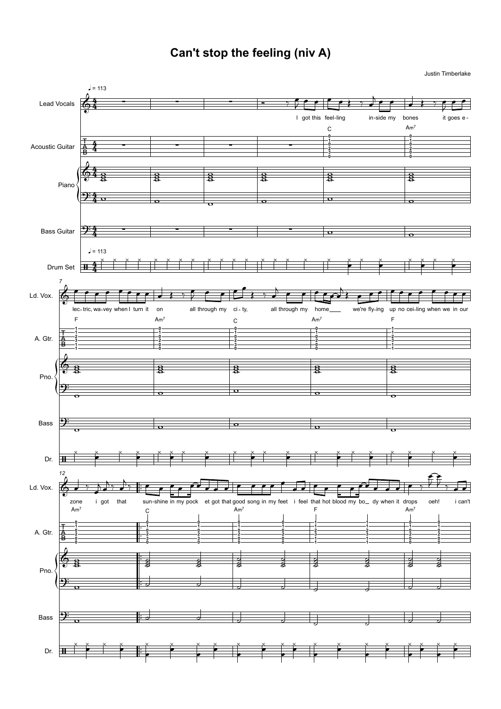**Can't stop the feeling (niv A)**

Justin Timberlake

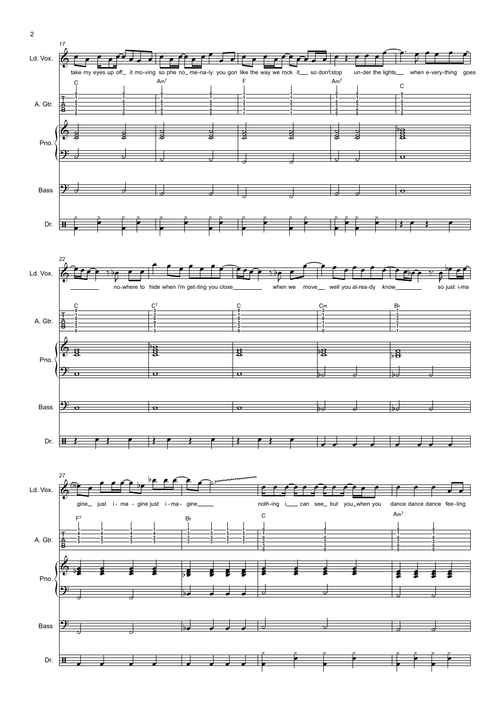





Pno.

 $\frac{1}{2}$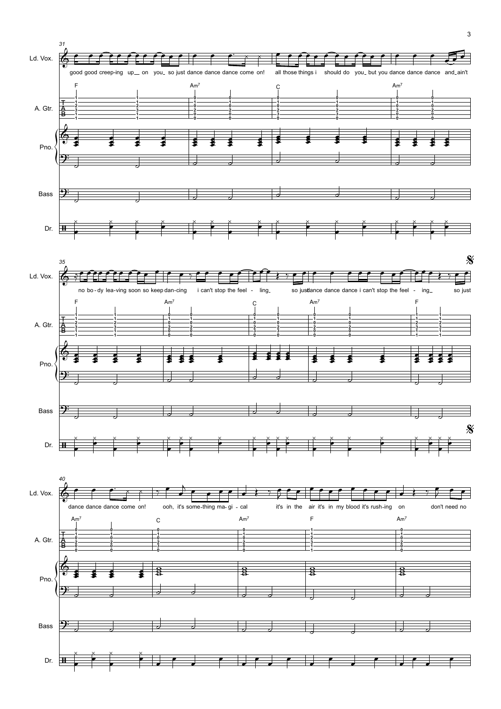



Dr.  $\begin{array}{|c|c|c|c|}\n\hline\n\text{I} & \text{I} & \text{I} & \text{I} & \text{I} & \text{I} & \text{I} & \text{I} & \text{I} & \text{I} & \text{I} & \text{I} & \text{I} & \text{I} & \text{I} & \text{I} & \text{I} & \text{I} & \text{I} & \text{I} & \text{I} & \text{I} & \text{I} & \text{I} & \text{I} & \text{I} & \text{I} & \text{I} & \text{I} & \text{I} & \text{I} & \text{I} & \text{I$  $\begin{array}{c} \times \end{array}$  $\begin{array}{c}\n\begin{array}{ccc}\n\times & \times \\
\hline\n\end{array} & \end{array}$  $\begin{array}{c}\n \times \\
 \times \\
 \bullet\n \end{array}$ ¿œ œ œ <u>e e control de la contrada de la contrada de la contrada de la contrada de la contrada de la contrada de la co</u>  $\overline{\phantom{a}}$ **experience**  $\overline{\phantom{a}}$ œ œ œ œ œ œ œ  $\overline{\phantom{a}}$ œ œ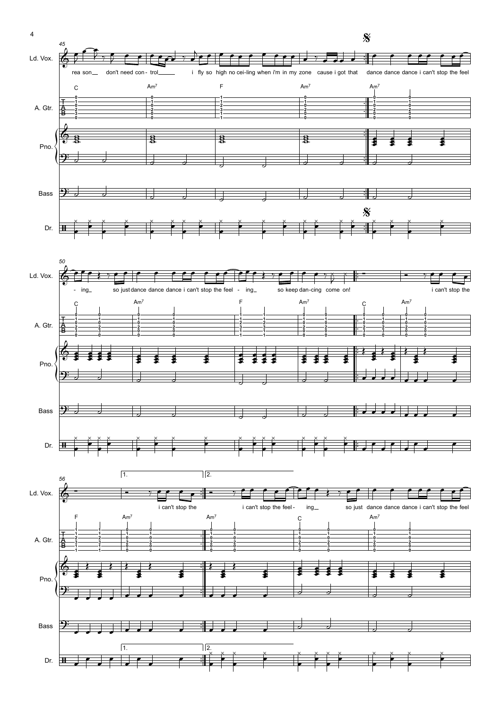

™ ™ Dr. / œ œ  $\boxed{1.}$ <u>e e pre</u> œ œ  $\bullet$   $\qquad$   $\overset{\times}{\bullet}$ ¿œ ¿œ ¿œ  $\overrightarrow{a}$  $\begin{array}{c} \times \times \times \times \\ \bullet \end{array}$  $\begin{array}{c} \times \times \times \\ \bullet \end{array}$  $\begin{array}{c}\n \times \times \\
 \bullet \quad \bullet\n \end{array}$  $\sum_{i=1}^{n}$  $\begin{array}{c} \times \end{array}$  $\begin{array}{c}\n\begin{array}{ccc}\n\searrow & & \times \\
\hline\n\end{array} & & \end{array}$  $\begin{array}{c}\n\mathbf{x} \\
\bullet\n\end{array}$ ¿œ